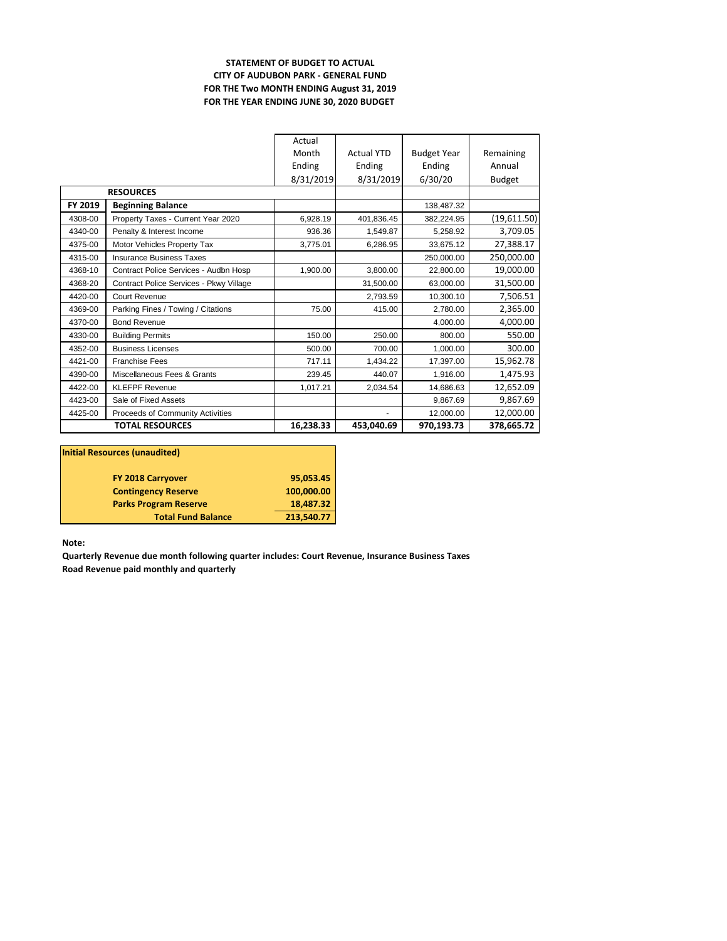## **STATEMENT OF BUDGET TO ACTUAL CITY OF AUDUBON PARK - GENERAL FUND FOR THE Two MONTH ENDING August 31, 2019 FOR THE YEAR ENDING JUNE 30, 2020 BUDGET**

|                        |                                         | Actual    |                   |                    |               |
|------------------------|-----------------------------------------|-----------|-------------------|--------------------|---------------|
|                        |                                         | Month     | <b>Actual YTD</b> | <b>Budget Year</b> | Remaining     |
|                        |                                         | Ending    | Ending            | Ending             | Annual        |
|                        |                                         | 8/31/2019 | 8/31/2019         | 6/30/20            | <b>Budget</b> |
|                        | <b>RESOURCES</b>                        |           |                   |                    |               |
| FY 2019                | <b>Beginning Balance</b>                |           |                   | 138,487.32         |               |
| 4308-00                | Property Taxes - Current Year 2020      | 6,928.19  | 401.836.45        | 382.224.95         | (19,611.50)   |
| 4340-00                | Penalty & Interest Income               | 936.36    | 1.549.87          | 5,258.92           | 3,709.05      |
| 4375-00                | Motor Vehicles Property Tax             | 3,775.01  | 6,286.95          | 33,675.12          | 27,388.17     |
| 4315-00                | <b>Insurance Business Taxes</b>         |           |                   | 250.000.00         | 250,000.00    |
| 4368-10                | Contract Police Services - Audbn Hosp   | 1,900.00  | 3,800.00          | 22,800.00          | 19,000.00     |
| 4368-20                | Contract Police Services - Pkwy Village |           | 31,500.00         | 63,000.00          | 31,500.00     |
| 4420-00                | Court Revenue                           |           | 2,793.59          | 10,300.10          | 7,506.51      |
| 4369-00                | Parking Fines / Towing / Citations      | 75.00     | 415.00            | 2.780.00           | 2,365.00      |
| 4370-00                | <b>Bond Revenue</b>                     |           |                   | 4.000.00           | 4,000.00      |
| 4330-00                | <b>Building Permits</b>                 | 150.00    | 250.00            | 800.00             | 550.00        |
| 4352-00                | <b>Business Licenses</b>                | 500.00    | 700.00            | 1.000.00           | 300.00        |
| 4421-00                | <b>Franchise Fees</b>                   | 717.11    | 1.434.22          | 17.397.00          | 15,962.78     |
| 4390-00                | Miscellaneous Fees & Grants             | 239.45    | 440.07            | 1.916.00           | 1,475.93      |
| 4422-00                | <b>KLEFPF Revenue</b>                   | 1.017.21  | 2.034.54          | 14,686.63          | 12,652.09     |
| 4423-00                | Sale of Fixed Assets                    |           |                   | 9.867.69           | 9,867.69      |
| 4425-00                | Proceeds of Community Activities        |           |                   | 12.000.00          | 12,000.00     |
| <b>TOTAL RESOURCES</b> |                                         | 16,238.33 | 453,040.69        | 970,193.73         | 378,665.72    |

| Initial Resources (unaudited) |            |  |  |  |  |
|-------------------------------|------------|--|--|--|--|
| <b>FY 2018 Carryover</b>      | 95,053.45  |  |  |  |  |
| <b>Contingency Reserve</b>    | 100,000.00 |  |  |  |  |
| <b>Parks Program Reserve</b>  | 18,487.32  |  |  |  |  |
| <b>Total Fund Balance</b>     | 213,540.77 |  |  |  |  |

**Note:**

**Quarterly Revenue due month following quarter includes: Court Revenue, Insurance Business Taxes Road Revenue paid monthly and quarterly**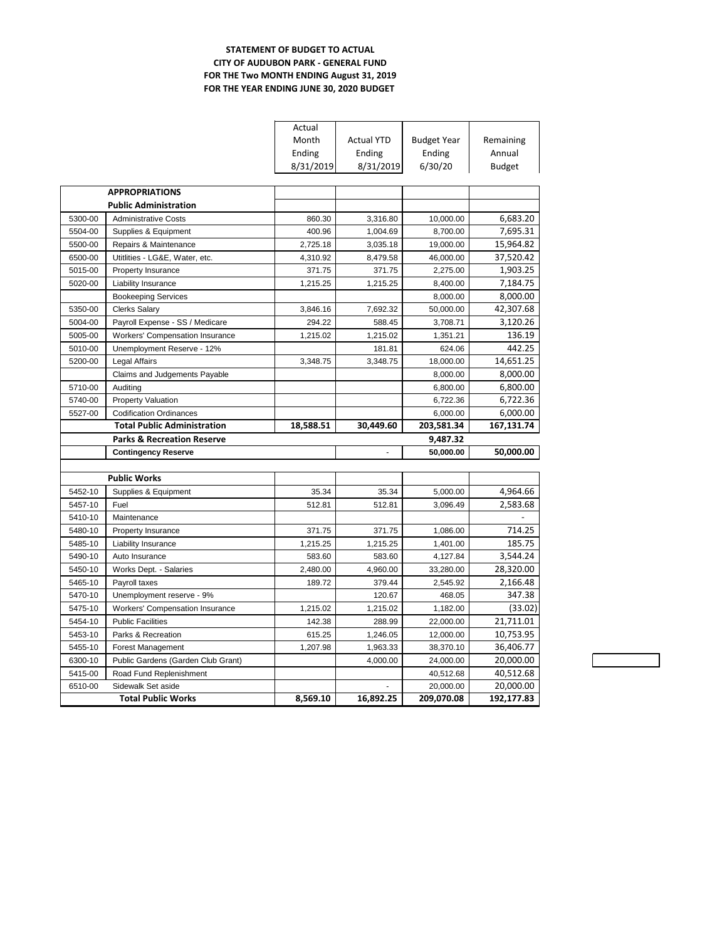## **STATEMENT OF BUDGET TO ACTUAL CITY OF AUDUBON PARK - GENERAL FUND FOR THE Two MONTH ENDING August 31, 2019 FOR THE YEAR ENDING JUNE 30, 2020 BUDGET**

|         |                                                 | Actual    |                   |                         |               |
|---------|-------------------------------------------------|-----------|-------------------|-------------------------|---------------|
|         |                                                 | Month     | <b>Actual YTD</b> | <b>Budget Year</b>      | Remaining     |
|         |                                                 | Ending    | Ending            | Ending                  | Annual        |
|         |                                                 | 8/31/2019 | 8/31/2019         | 6/30/20                 | <b>Budget</b> |
|         |                                                 |           |                   |                         |               |
|         | <b>APPROPRIATIONS</b>                           |           |                   |                         |               |
|         | <b>Public Administration</b>                    |           |                   |                         |               |
| 5300-00 | <b>Administrative Costs</b>                     | 860.30    | 3,316.80          | 10,000.00               | 6,683.20      |
| 5504-00 | Supplies & Equipment                            | 400.96    | 1,004.69          | 8,700.00                | 7,695.31      |
| 5500-00 | Repairs & Maintenance                           | 2,725.18  | 3,035.18          | 19,000.00               | 15,964.82     |
| 6500-00 | Utitlities - LG&E, Water, etc.                  | 4,310.92  | 8,479.58          | 46,000.00               | 37,520.42     |
| 5015-00 | Property Insurance                              | 371.75    | 371.75            | 2,275.00                | 1,903.25      |
| 5020-00 | Liability Insurance                             | 1,215.25  | 1,215.25          | 8,400.00                | 7,184.75      |
|         | <b>Bookeeping Services</b>                      |           |                   | 8,000.00                | 8,000.00      |
| 5350-00 | <b>Clerks Salary</b>                            | 3,846.16  | 7,692.32          | 50,000.00               | 42,307.68     |
| 5004-00 | Payroll Expense - SS / Medicare                 | 294.22    | 588.45            | 3,708.71                | 3,120.26      |
| 5005-00 | <b>Workers' Compensation Insurance</b>          | 1,215.02  | 1,215.02          | 1,351.21                | 136.19        |
| 5010-00 | Unemployment Reserve - 12%                      |           | 181.81            | 624.06                  | 442.25        |
| 5200-00 | <b>Legal Affairs</b>                            | 3,348.75  | 3,348.75          | 18,000.00               | 14,651.25     |
|         | Claims and Judgements Payable                   |           |                   | 8,000.00                | 8,000.00      |
| 5710-00 | Auditing                                        |           |                   | 6,800.00                | 6,800.00      |
| 5740-00 | Property Valuation                              |           |                   | 6,722.36                | 6,722.36      |
| 5527-00 | <b>Codification Ordinances</b>                  |           |                   | 6,000.00                | 6,000.00      |
|         |                                                 |           |                   |                         |               |
|         | <b>Total Public Administration</b>              | 18,588.51 | 30,449.60         | 203,581.34              | 167,131.74    |
|         | <b>Parks &amp; Recreation Reserve</b>           |           |                   | 9,487.32                |               |
|         | <b>Contingency Reserve</b>                      |           | L.                | 50,000.00               | 50,000.00     |
|         |                                                 |           |                   |                         |               |
|         | <b>Public Works</b>                             |           |                   |                         |               |
| 5452-10 | Supplies & Equipment                            | 35.34     | 35.34             | 5,000.00                | 4,964.66      |
| 5457-10 | Fuel                                            | 512.81    | 512.81            | 3,096.49                | 2,583.68      |
| 5410-10 | Maintenance                                     |           |                   |                         |               |
| 5480-10 | Property Insurance                              | 371.75    | 371.75            | 1,086.00                | 714.25        |
| 5485-10 | Liability Insurance                             | 1,215.25  | 1,215.25          | 1,401.00                | 185.75        |
| 5490-10 | Auto Insurance                                  | 583.60    | 583.60            | 4,127.84                | 3,544.24      |
| 5450-10 | Works Dept. - Salaries                          | 2,480.00  | 4,960.00          | 33,280.00               | 28,320.00     |
| 5465-10 | Payroll taxes                                   | 189.72    | 379.44            | 2,545.92                | 2,166.48      |
| 5470-10 | Unemployment reserve - 9%                       |           | 120.67            | 468.05                  | 347.38        |
| 5475-10 | <b>Workers' Compensation Insurance</b>          | 1,215.02  | 1,215.02          | 1,182.00                | (33.02)       |
| 5454-10 | <b>Public Facilities</b>                        | 142.38    | 288.99            | 22,000.00               | 21,711.01     |
| 5453-10 | Parks & Recreation                              | 615.25    | 1,246.05          | 12,000.00               | 10,753.95     |
| 5455-10 | Forest Management                               | 1,207.98  | 1,963.33          | 38,370.10               | 36,406.77     |
| 6300-10 | Public Gardens (Garden Club Grant)              |           | 4,000.00          | 24,000.00               | 20,000.00     |
| 5415-00 | Road Fund Replenishment                         |           |                   | 40,512.68               | 40,512.68     |
| 6510-00 | Sidewalk Set aside<br><b>Total Public Works</b> |           | 16,892.25         | 20,000.00<br>209,070.08 | 20,000.00     |